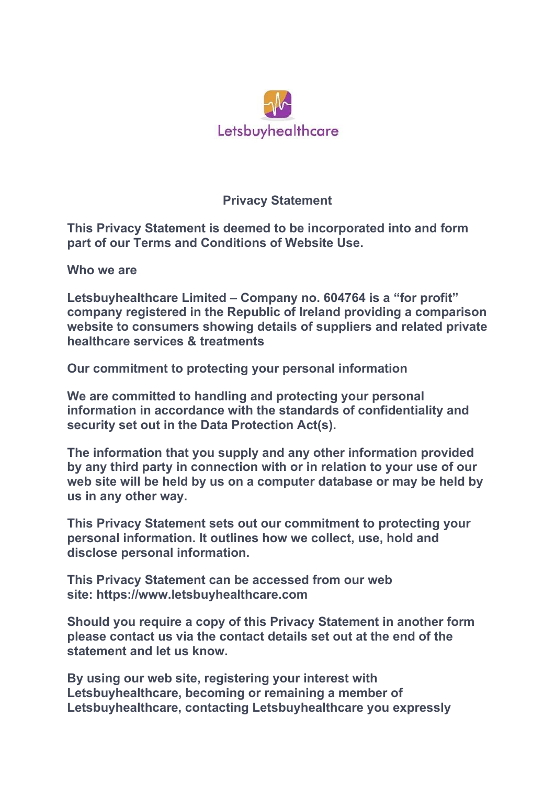

## **Privacy Statement**

**This Privacy Statement is deemed to be incorporated into and form part of our Terms and Conditions of Website Use.**

**Who we are**

**Letsbuyhealthcare Limited – Company no. 604764 is a "for profit" company registered in the Republic of Ireland providing a comparison website to consumers showing details of suppliers and related private healthcare services & treatments**

**Our commitment to protecting your personal information**

**We are committed to handling and protecting your personal information in accordance with the standards of confidentiality and security set out in the Data Protection Act(s).** 

**The information that you supply and any other information provided by any third party in connection with or in relation to your use of our web site will be held by us on a computer database or may be held by us in any other way.**

**This Privacy Statement sets out our commitment to protecting your personal information. It outlines how we collect, use, hold and disclose personal information.**

**This Privacy Statement can be accessed from our web site: https://www.letsbuyhealthcare.com** 

**Should you require a copy of this Privacy Statement in another form please contact us via the contact details set out at the end of the statement and let us know.**

**By using our web site, registering your interest with Letsbuyhealthcare, becoming or remaining a member of Letsbuyhealthcare, contacting Letsbuyhealthcare you expressly**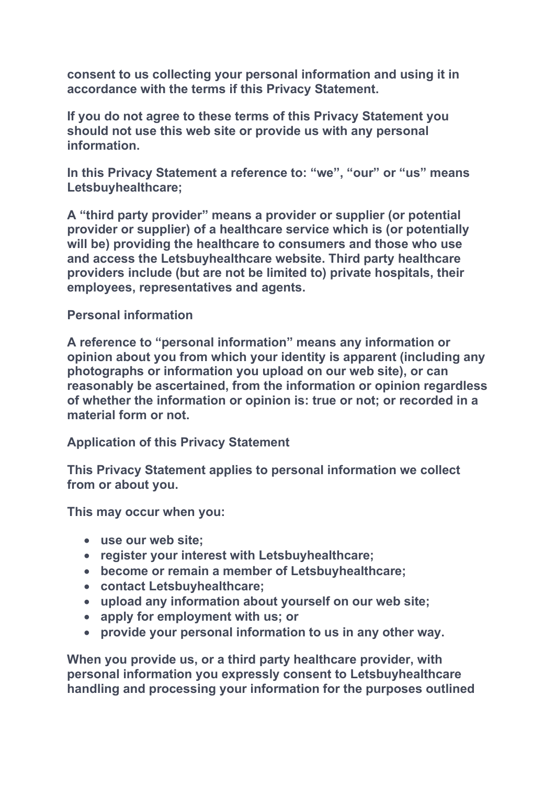**consent to us collecting your personal information and using it in accordance with the terms if this Privacy Statement.**

**If you do not agree to these terms of this Privacy Statement you should not use this web site or provide us with any personal information.** 

**In this Privacy Statement a reference to: "we", "our" or "us" means Letsbuyhealthcare;**

**A "third party provider" means a provider or supplier (or potential provider or supplier) of a healthcare service which is (or potentially will be) providing the healthcare to consumers and those who use and access the Letsbuyhealthcare website. Third party healthcare providers include (but are not be limited to) private hospitals, their employees, representatives and agents.**

## **Personal information**

**A reference to "personal information" means any information or opinion about you from which your identity is apparent (including any photographs or information you upload on our web site), or can reasonably be ascertained, from the information or opinion regardless of whether the information or opinion is: true or not; or recorded in a material form or not.**

**Application of this Privacy Statement**

**This Privacy Statement applies to personal information we collect from or about you.** 

**This may occur when you:**

- **use our web site;**
- **register your interest with Letsbuyhealthcare;**
- **become or remain a member of Letsbuyhealthcare;**
- **contact Letsbuyhealthcare;**
- **upload any information about yourself on our web site;**
- **apply for employment with us; or**
- **provide your personal information to us in any other way.**

**When you provide us, or a third party healthcare provider, with personal information you expressly consent to Letsbuyhealthcare handling and processing your information for the purposes outlined**